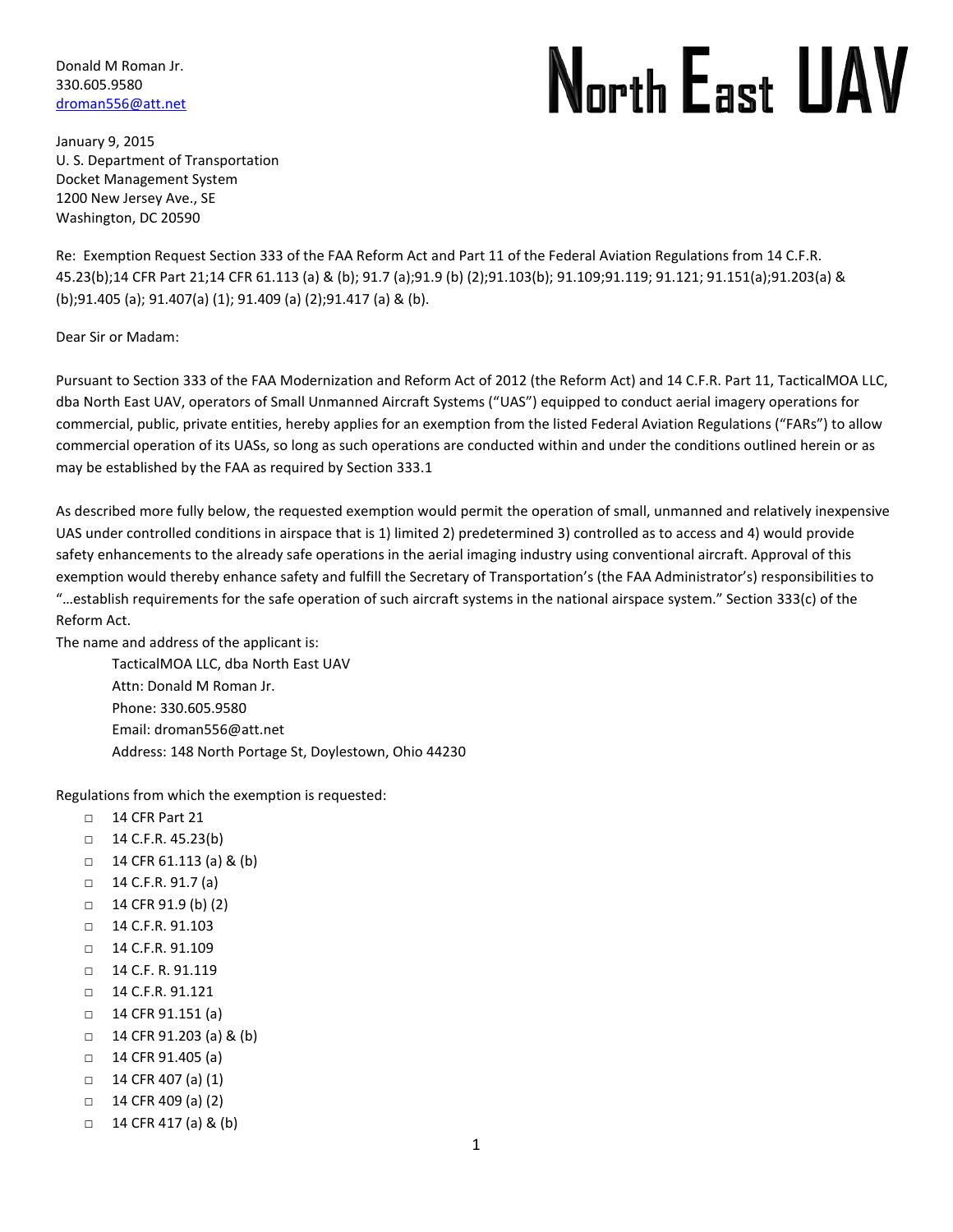Donald M Roman Jr. 330.605.9580 [droman556@att.net](mailto:droman556@att.net)

# North East UAV

January 9, 2015 U. S. Department of Transportation Docket Management System 1200 New Jersey Ave., SE Washington, DC 20590

Re: Exemption Request Section 333 of the FAA Reform Act and Part 11 of the Federal Aviation Regulations from 14 C.F.R. 45.23(b);14 CFR Part 21;14 CFR 61.113 (a) & (b); 91.7 (a);91.9 (b) (2);91.103(b); 91.109;91.119; 91.121; 91.151(a);91.203(a) & (b);91.405 (a); 91.407(a) (1); 91.409 (a) (2);91.417 (a) & (b).

Dear Sir or Madam:

Pursuant to Section 333 of the FAA Modernization and Reform Act of 2012 (the Reform Act) and 14 C.F.R. Part 11, TacticalMOA LLC, dba North East UAV, operators of Small Unmanned Aircraft Systems ("UAS") equipped to conduct aerial imagery operations for commercial, public, private entities, hereby applies for an exemption from the listed Federal Aviation Regulations ("FARs") to allow commercial operation of its UASs, so long as such operations are conducted within and under the conditions outlined herein or as may be established by the FAA as required by Section 333.1

As described more fully below, the requested exemption would permit the operation of small, unmanned and relatively inexpensive UAS under controlled conditions in airspace that is 1) limited 2) predetermined 3) controlled as to access and 4) would provide safety enhancements to the already safe operations in the aerial imaging industry using conventional aircraft. Approval of this exemption would thereby enhance safety and fulfill the Secretary of Transportation's (the FAA Administrator's) responsibilities to "…establish requirements for the safe operation of such aircraft systems in the national airspace system." Section 333(c) of the Reform Act.

The name and address of the applicant is:

TacticalMOA LLC, dba North East UAV Attn: Donald M Roman Jr. Phone: 330.605.9580 Email: droman556@att.net Address: 148 North Portage St, Doylestown, Ohio 44230

Regulations from which the exemption is requested:

- □ 14 CFR Part 21
- □ 14 C.F.R. 45.23(b)
- □ 14 CFR 61.113 (a) & (b)
- $\Box$  14 C.F.R. 91.7 (a)
- □ 14 CFR 91.9 (b) (2)
- □ 14 C.F.R. 91.103
- □ 14 C.F.R. 91.109
- □ 14 C.F. R. 91.119
- □ 14 C.F.R. 91.121
- □ 14 CFR 91.151 (a)
- □ 14 CFR 91.203 (a) & (b)
- □ 14 CFR 91.405 (a)
- □ 14 CFR 407 (a) (1)
- □ 14 CFR 409 (a) (2)
- $\Box$  14 CFR 417 (a) & (b)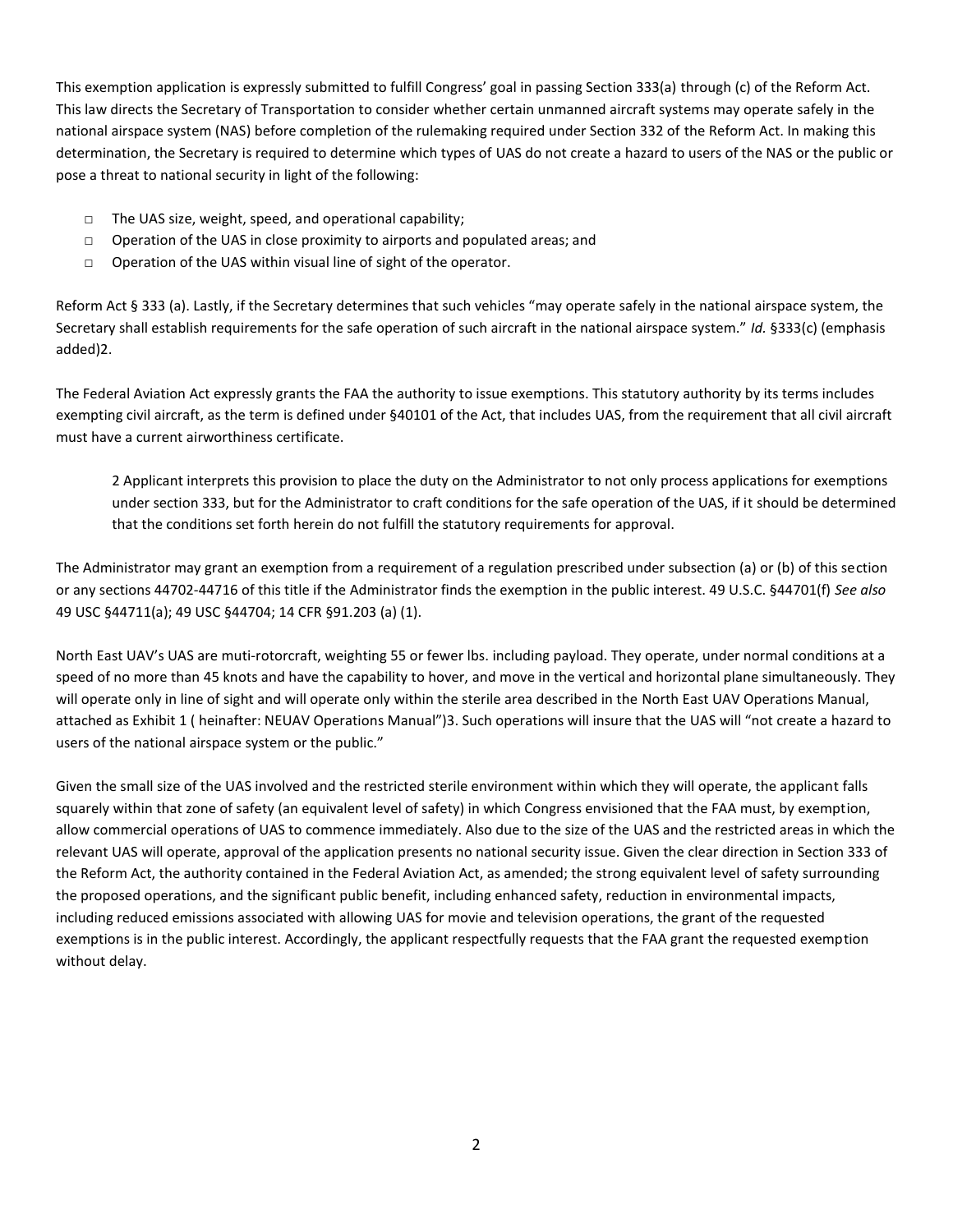This exemption application is expressly submitted to fulfill Congress' goal in passing Section 333(a) through (c) of the Reform Act. This law directs the Secretary of Transportation to consider whether certain unmanned aircraft systems may operate safely in the national airspace system (NAS) before completion of the rulemaking required under Section 332 of the Reform Act. In making this determination, the Secretary is required to determine which types of UAS do not create a hazard to users of the NAS or the public or pose a threat to national security in light of the following:

- □ The UAS size, weight, speed, and operational capability;
- □ Operation of the UAS in close proximity to airports and populated areas; and
- □ Operation of the UAS within visual line of sight of the operator.

Reform Act § 333 (a). Lastly, if the Secretary determines that such vehicles "may operate safely in the national airspace system, the Secretary shall establish requirements for the safe operation of such aircraft in the national airspace system." *Id.* §333(c) (emphasis added)2.

The Federal Aviation Act expressly grants the FAA the authority to issue exemptions. This statutory authority by its terms includes exempting civil aircraft, as the term is defined under §40101 of the Act, that includes UAS, from the requirement that all civil aircraft must have a current airworthiness certificate.

2 Applicant interprets this provision to place the duty on the Administrator to not only process applications for exemptions under section 333, but for the Administrator to craft conditions for the safe operation of the UAS, if it should be determined that the conditions set forth herein do not fulfill the statutory requirements for approval.

The Administrator may grant an exemption from a requirement of a regulation prescribed under subsection (a) or (b) of this section or any sections 44702-44716 of this title if the Administrator finds the exemption in the public interest. 49 U.S.C. §44701(f) *See also*  49 USC §44711(a); 49 USC §44704; 14 CFR §91.203 (a) (1).

North East UAV's UAS are muti-rotorcraft, weighting 55 or fewer lbs. including payload. They operate, under normal conditions at a speed of no more than 45 knots and have the capability to hover, and move in the vertical and horizontal plane simultaneously. They will operate only in line of sight and will operate only within the sterile area described in the North East UAV Operations Manual, attached as Exhibit 1 ( heinafter: NEUAV Operations Manual")3. Such operations will insure that the UAS will "not create a hazard to users of the national airspace system or the public."

Given the small size of the UAS involved and the restricted sterile environment within which they will operate, the applicant falls squarely within that zone of safety (an equivalent level of safety) in which Congress envisioned that the FAA must, by exemption, allow commercial operations of UAS to commence immediately. Also due to the size of the UAS and the restricted areas in which the relevant UAS will operate, approval of the application presents no national security issue. Given the clear direction in Section 333 of the Reform Act, the authority contained in the Federal Aviation Act, as amended; the strong equivalent level of safety surrounding the proposed operations, and the significant public benefit, including enhanced safety, reduction in environmental impacts, including reduced emissions associated with allowing UAS for movie and television operations, the grant of the requested exemptions is in the public interest. Accordingly, the applicant respectfully requests that the FAA grant the requested exemption without delay.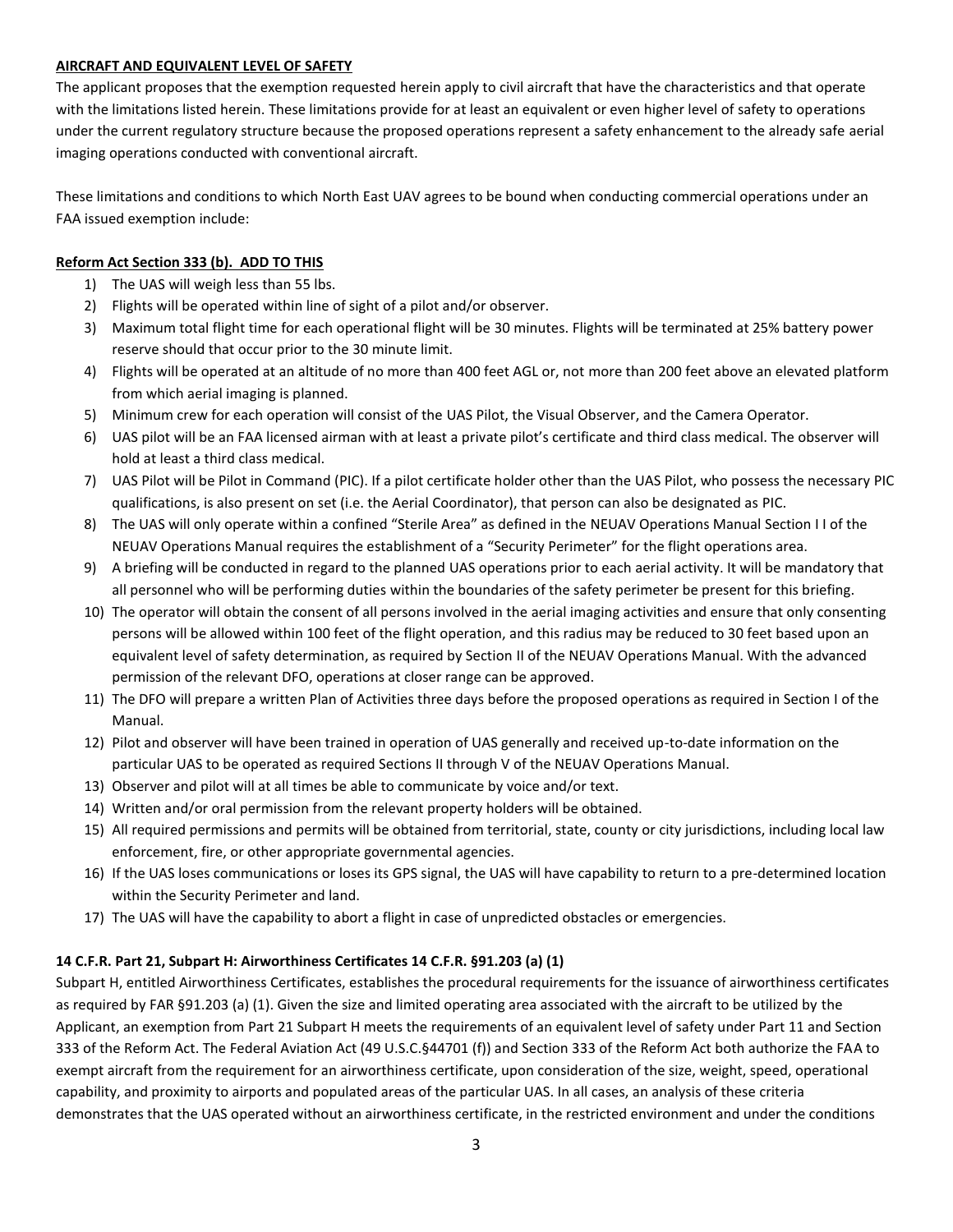#### **AIRCRAFT AND EQUIVALENT LEVEL OF SAFETY**

The applicant proposes that the exemption requested herein apply to civil aircraft that have the characteristics and that operate with the limitations listed herein. These limitations provide for at least an equivalent or even higher level of safety to operations under the current regulatory structure because the proposed operations represent a safety enhancement to the already safe aerial imaging operations conducted with conventional aircraft.

These limitations and conditions to which North East UAV agrees to be bound when conducting commercial operations under an FAA issued exemption include:

#### **Reform Act Section 333 (b). ADD TO THIS**

- 1) The UAS will weigh less than 55 lbs.
- 2) Flights will be operated within line of sight of a pilot and/or observer.
- 3) Maximum total flight time for each operational flight will be 30 minutes. Flights will be terminated at 25% battery power reserve should that occur prior to the 30 minute limit.
- 4) Flights will be operated at an altitude of no more than 400 feet AGL or, not more than 200 feet above an elevated platform from which aerial imaging is planned.
- 5) Minimum crew for each operation will consist of the UAS Pilot, the Visual Observer, and the Camera Operator.
- 6) UAS pilot will be an FAA licensed airman with at least a private pilot's certificate and third class medical. The observer will hold at least a third class medical.
- 7) UAS Pilot will be Pilot in Command (PIC). If a pilot certificate holder other than the UAS Pilot, who possess the necessary PIC qualifications, is also present on set (i.e. the Aerial Coordinator), that person can also be designated as PIC.
- 8) The UAS will only operate within a confined "Sterile Area" as defined in the NEUAV Operations Manual Section I I of the NEUAV Operations Manual requires the establishment of a "Security Perimeter" for the flight operations area.
- 9) A briefing will be conducted in regard to the planned UAS operations prior to each aerial activity. It will be mandatory that all personnel who will be performing duties within the boundaries of the safety perimeter be present for this briefing.
- 10) The operator will obtain the consent of all persons involved in the aerial imaging activities and ensure that only consenting persons will be allowed within 100 feet of the flight operation, and this radius may be reduced to 30 feet based upon an equivalent level of safety determination, as required by Section II of the NEUAV Operations Manual. With the advanced permission of the relevant DFO, operations at closer range can be approved.
- 11) The DFO will prepare a written Plan of Activities three days before the proposed operations as required in Section I of the Manual.
- 12) Pilot and observer will have been trained in operation of UAS generally and received up-to-date information on the particular UAS to be operated as required Sections II through V of the NEUAV Operations Manual.
- 13) Observer and pilot will at all times be able to communicate by voice and/or text.
- 14) Written and/or oral permission from the relevant property holders will be obtained.
- 15) All required permissions and permits will be obtained from territorial, state, county or city jurisdictions, including local law enforcement, fire, or other appropriate governmental agencies.
- 16) If the UAS loses communications or loses its GPS signal, the UAS will have capability to return to a pre-determined location within the Security Perimeter and land.
- 17) The UAS will have the capability to abort a flight in case of unpredicted obstacles or emergencies.

#### **14 C.F.R. Part 21, Subpart H: Airworthiness Certificates 14 C.F.R. §91.203 (a) (1)**

Subpart H, entitled Airworthiness Certificates, establishes the procedural requirements for the issuance of airworthiness certificates as required by FAR §91.203 (a) (1). Given the size and limited operating area associated with the aircraft to be utilized by the Applicant, an exemption from Part 21 Subpart H meets the requirements of an equivalent level of safety under Part 11 and Section 333 of the Reform Act. The Federal Aviation Act (49 U.S.C.§44701 (f)) and Section 333 of the Reform Act both authorize the FAA to exempt aircraft from the requirement for an airworthiness certificate, upon consideration of the size, weight, speed, operational capability, and proximity to airports and populated areas of the particular UAS. In all cases, an analysis of these criteria demonstrates that the UAS operated without an airworthiness certificate, in the restricted environment and under the conditions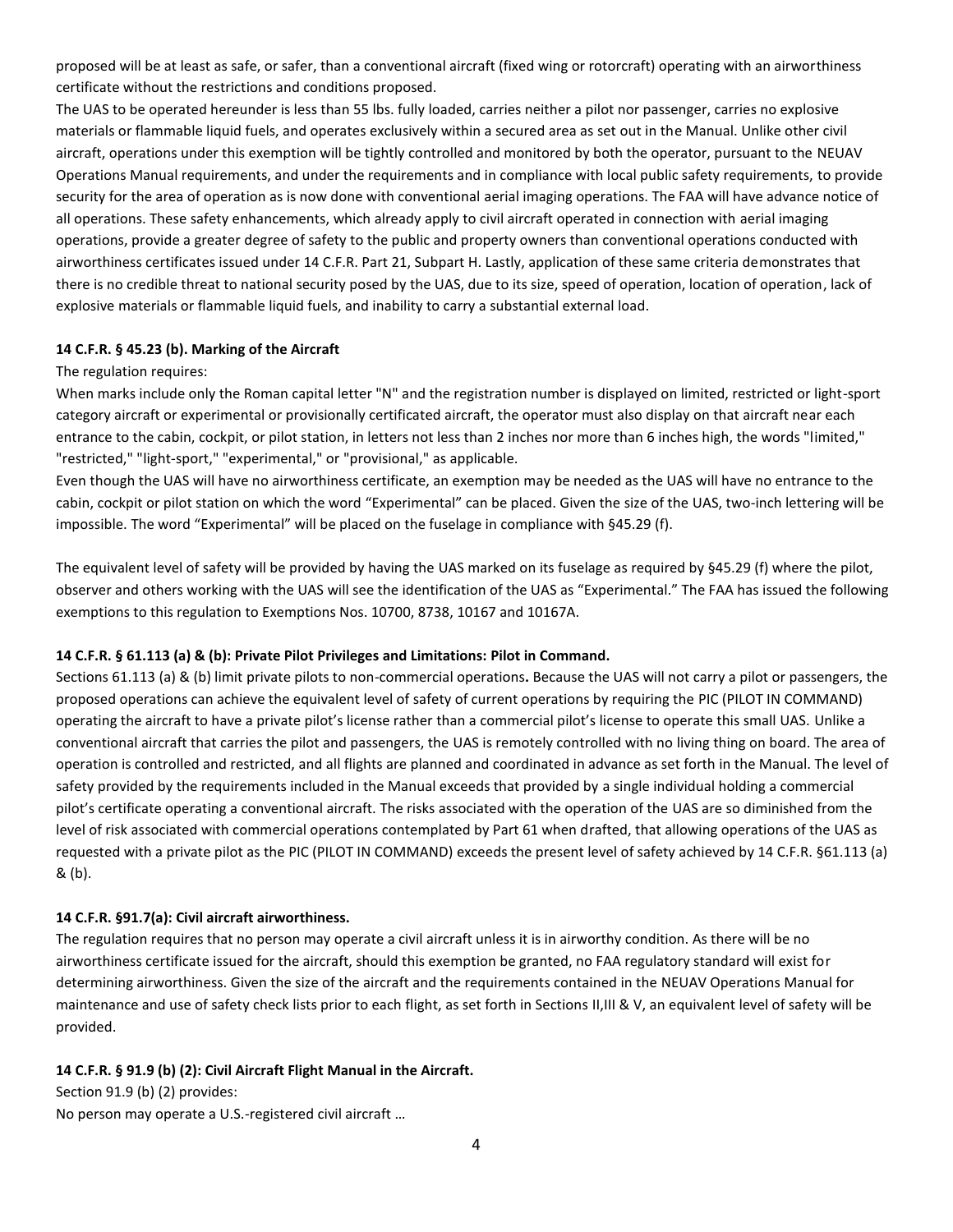proposed will be at least as safe, or safer, than a conventional aircraft (fixed wing or rotorcraft) operating with an airworthiness certificate without the restrictions and conditions proposed.

The UAS to be operated hereunder is less than 55 lbs. fully loaded, carries neither a pilot nor passenger, carries no explosive materials or flammable liquid fuels, and operates exclusively within a secured area as set out in the Manual. Unlike other civil aircraft, operations under this exemption will be tightly controlled and monitored by both the operator, pursuant to the NEUAV Operations Manual requirements, and under the requirements and in compliance with local public safety requirements, to provide security for the area of operation as is now done with conventional aerial imaging operations. The FAA will have advance notice of all operations. These safety enhancements, which already apply to civil aircraft operated in connection with aerial imaging operations, provide a greater degree of safety to the public and property owners than conventional operations conducted with airworthiness certificates issued under 14 C.F.R. Part 21, Subpart H. Lastly, application of these same criteria demonstrates that there is no credible threat to national security posed by the UAS, due to its size, speed of operation, location of operation, lack of explosive materials or flammable liquid fuels, and inability to carry a substantial external load.

### **14 C.F.R. § 45.23 (b). Marking of the Aircraft**

#### The regulation requires:

When marks include only the Roman capital letter "N" and the registration number is displayed on limited, restricted or light-sport category aircraft or experimental or provisionally certificated aircraft, the operator must also display on that aircraft near each entrance to the cabin, cockpit, or pilot station, in letters not less than 2 inches nor more than 6 inches high, the words "limited," "restricted," "light-sport," "experimental," or "provisional," as applicable.

Even though the UAS will have no airworthiness certificate, an exemption may be needed as the UAS will have no entrance to the cabin, cockpit or pilot station on which the word "Experimental" can be placed. Given the size of the UAS, two-inch lettering will be impossible. The word "Experimental" will be placed on the fuselage in compliance with §45.29 (f).

The equivalent level of safety will be provided by having the UAS marked on its fuselage as required by §45.29 (f) where the pilot, observer and others working with the UAS will see the identification of the UAS as "Experimental." The FAA has issued the following exemptions to this regulation to Exemptions Nos. 10700, 8738, 10167 and 10167A.

#### **14 C.F.R. § 61.113 (a) & (b): Private Pilot Privileges and Limitations: Pilot in Command.**

Sections 61.113 (a) & (b) limit private pilots to non-commercial operations**.** Because the UAS will not carry a pilot or passengers, the proposed operations can achieve the equivalent level of safety of current operations by requiring the PIC (PILOT IN COMMAND) operating the aircraft to have a private pilot's license rather than a commercial pilot's license to operate this small UAS. Unlike a conventional aircraft that carries the pilot and passengers, the UAS is remotely controlled with no living thing on board. The area of operation is controlled and restricted, and all flights are planned and coordinated in advance as set forth in the Manual. The level of safety provided by the requirements included in the Manual exceeds that provided by a single individual holding a commercial pilot's certificate operating a conventional aircraft. The risks associated with the operation of the UAS are so diminished from the level of risk associated with commercial operations contemplated by Part 61 when drafted, that allowing operations of the UAS as requested with a private pilot as the PIC (PILOT IN COMMAND) exceeds the present level of safety achieved by 14 C.F.R. §61.113 (a) & (b).

#### **14 C.F.R. §91.7(a): Civil aircraft airworthiness.**

The regulation requires that no person may operate a civil aircraft unless it is in airworthy condition. As there will be no airworthiness certificate issued for the aircraft, should this exemption be granted, no FAA regulatory standard will exist for determining airworthiness. Given the size of the aircraft and the requirements contained in the NEUAV Operations Manual for maintenance and use of safety check lists prior to each flight, as set forth in Sections II,III & V, an equivalent level of safety will be provided.

# **14 C.F.R. § 91.9 (b) (2): Civil Aircraft Flight Manual in the Aircraft.**

Section 91.9 (b) (2) provides: No person may operate a U.S.-registered civil aircraft …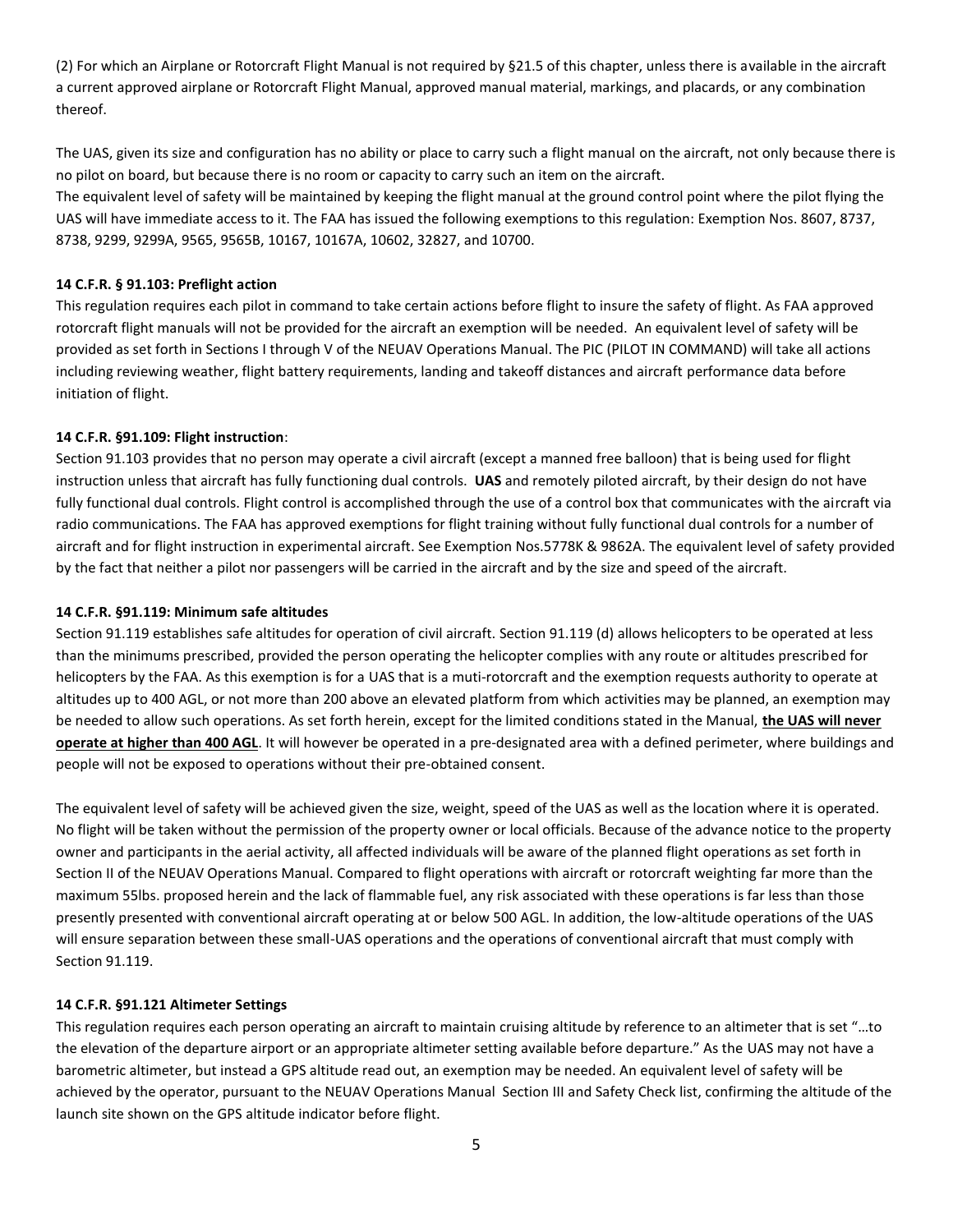(2) For which an Airplane or Rotorcraft Flight Manual is not required by §21.5 of this chapter, unless there is available in the aircraft a current approved airplane or Rotorcraft Flight Manual, approved manual material, markings, and placards, or any combination thereof.

The UAS, given its size and configuration has no ability or place to carry such a flight manual on the aircraft, not only because there is no pilot on board, but because there is no room or capacity to carry such an item on the aircraft. The equivalent level of safety will be maintained by keeping the flight manual at the ground control point where the pilot flying the UAS will have immediate access to it. The FAA has issued the following exemptions to this regulation: Exemption Nos. 8607, 8737, 8738, 9299, 9299A, 9565, 9565B, 10167, 10167A, 10602, 32827, and 10700.

## **14 C.F.R. § 91.103: Preflight action**

This regulation requires each pilot in command to take certain actions before flight to insure the safety of flight. As FAA approved rotorcraft flight manuals will not be provided for the aircraft an exemption will be needed. An equivalent level of safety will be provided as set forth in Sections I through V of the NEUAV Operations Manual. The PIC (PILOT IN COMMAND) will take all actions including reviewing weather, flight battery requirements, landing and takeoff distances and aircraft performance data before initiation of flight.

# **14 C.F.R. §91.109: Flight instruction**:

Section 91.103 provides that no person may operate a civil aircraft (except a manned free balloon) that is being used for flight instruction unless that aircraft has fully functioning dual controls. **UAS** and remotely piloted aircraft, by their design do not have fully functional dual controls. Flight control is accomplished through the use of a control box that communicates with the aircraft via radio communications. The FAA has approved exemptions for flight training without fully functional dual controls for a number of aircraft and for flight instruction in experimental aircraft. See Exemption Nos.5778K & 9862A. The equivalent level of safety provided by the fact that neither a pilot nor passengers will be carried in the aircraft and by the size and speed of the aircraft.

#### **14 C.F.R. §91.119: Minimum safe altitudes**

Section 91.119 establishes safe altitudes for operation of civil aircraft. Section 91.119 (d) allows helicopters to be operated at less than the minimums prescribed, provided the person operating the helicopter complies with any route or altitudes prescribed for helicopters by the FAA. As this exemption is for a UAS that is a muti-rotorcraft and the exemption requests authority to operate at altitudes up to 400 AGL, or not more than 200 above an elevated platform from which activities may be planned, an exemption may be needed to allow such operations. As set forth herein, except for the limited conditions stated in the Manual, **the UAS will never operate at higher than 400 AGL**. It will however be operated in a pre-designated area with a defined perimeter, where buildings and people will not be exposed to operations without their pre-obtained consent.

The equivalent level of safety will be achieved given the size, weight, speed of the UAS as well as the location where it is operated. No flight will be taken without the permission of the property owner or local officials. Because of the advance notice to the property owner and participants in the aerial activity, all affected individuals will be aware of the planned flight operations as set forth in Section II of the NEUAV Operations Manual. Compared to flight operations with aircraft or rotorcraft weighting far more than the maximum 55lbs. proposed herein and the lack of flammable fuel, any risk associated with these operations is far less than those presently presented with conventional aircraft operating at or below 500 AGL. In addition, the low-altitude operations of the UAS will ensure separation between these small-UAS operations and the operations of conventional aircraft that must comply with Section 91.119.

#### **14 C.F.R. §91.121 Altimeter Settings**

This regulation requires each person operating an aircraft to maintain cruising altitude by reference to an altimeter that is set "…to the elevation of the departure airport or an appropriate altimeter setting available before departure." As the UAS may not have a barometric altimeter, but instead a GPS altitude read out, an exemption may be needed. An equivalent level of safety will be achieved by the operator, pursuant to the NEUAV Operations Manual Section III and Safety Check list, confirming the altitude of the launch site shown on the GPS altitude indicator before flight.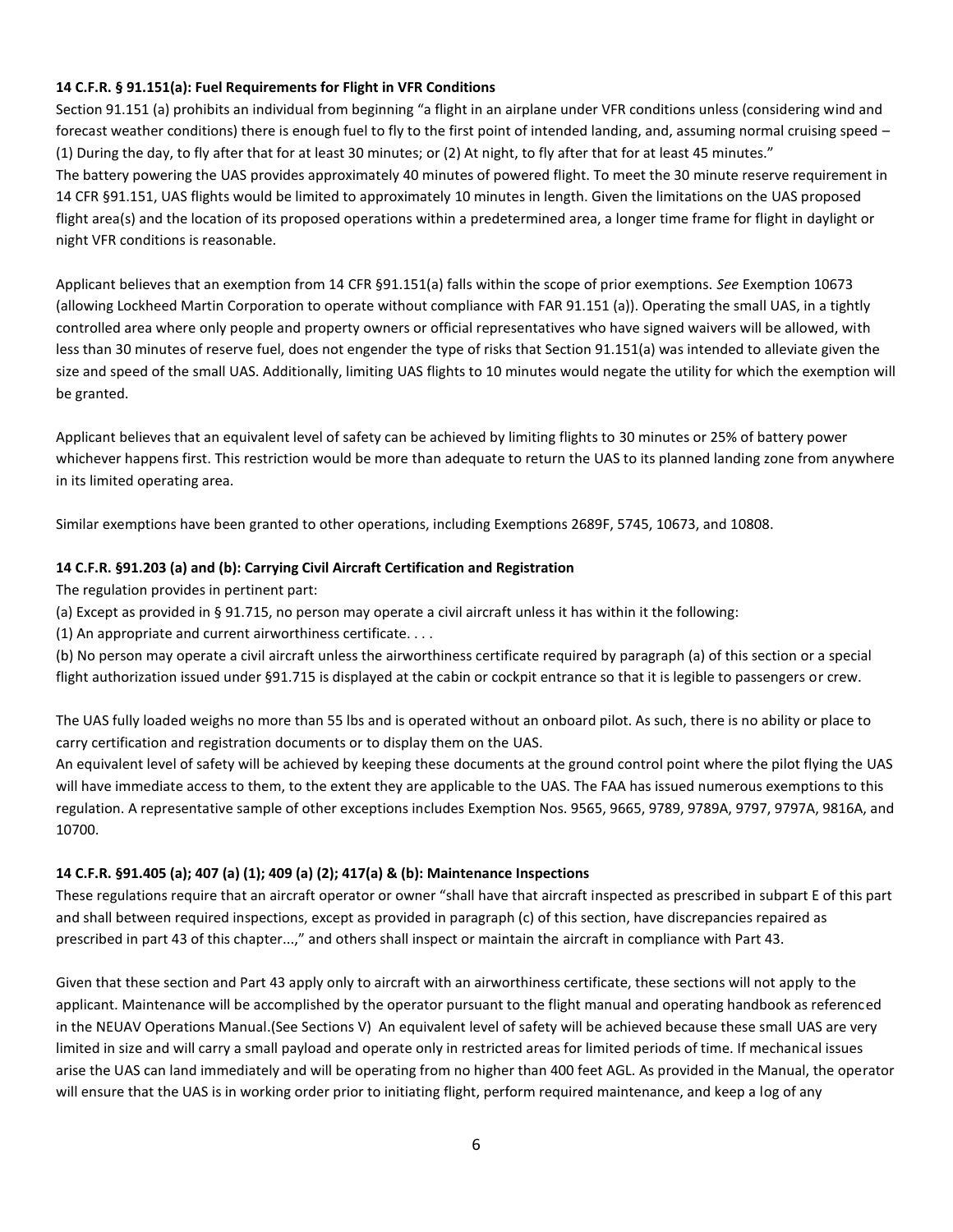# **14 C.F.R. § 91.151(a): Fuel Requirements for Flight in VFR Conditions**

Section 91.151 (a) prohibits an individual from beginning "a flight in an airplane under VFR conditions unless (considering wind and forecast weather conditions) there is enough fuel to fly to the first point of intended landing, and, assuming normal cruising speed – (1) During the day, to fly after that for at least 30 minutes; or (2) At night, to fly after that for at least 45 minutes." The battery powering the UAS provides approximately 40 minutes of powered flight. To meet the 30 minute reserve requirement in 14 CFR §91.151, UAS flights would be limited to approximately 10 minutes in length. Given the limitations on the UAS proposed flight area(s) and the location of its proposed operations within a predetermined area, a longer time frame for flight in daylight or night VFR conditions is reasonable.

Applicant believes that an exemption from 14 CFR §91.151(a) falls within the scope of prior exemptions. *See* Exemption 10673 (allowing Lockheed Martin Corporation to operate without compliance with FAR 91.151 (a)). Operating the small UAS, in a tightly controlled area where only people and property owners or official representatives who have signed waivers will be allowed, with less than 30 minutes of reserve fuel, does not engender the type of risks that Section 91.151(a) was intended to alleviate given the size and speed of the small UAS. Additionally, limiting UAS flights to 10 minutes would negate the utility for which the exemption will be granted.

Applicant believes that an equivalent level of safety can be achieved by limiting flights to 30 minutes or 25% of battery power whichever happens first. This restriction would be more than adequate to return the UAS to its planned landing zone from anywhere in its limited operating area.

Similar exemptions have been granted to other operations, including Exemptions 2689F, 5745, 10673, and 10808.

# **14 C.F.R. §91.203 (a) and (b): Carrying Civil Aircraft Certification and Registration**

The regulation provides in pertinent part:

- (a) Except as provided in § 91.715, no person may operate a civil aircraft unless it has within it the following:
- (1) An appropriate and current airworthiness certificate. . . .

(b) No person may operate a civil aircraft unless the airworthiness certificate required by paragraph (a) of this section or a special flight authorization issued under §91.715 is displayed at the cabin or cockpit entrance so that it is legible to passengers or crew.

The UAS fully loaded weighs no more than 55 lbs and is operated without an onboard pilot. As such, there is no ability or place to carry certification and registration documents or to display them on the UAS.

An equivalent level of safety will be achieved by keeping these documents at the ground control point where the pilot flying the UAS will have immediate access to them, to the extent they are applicable to the UAS. The FAA has issued numerous exemptions to this regulation. A representative sample of other exceptions includes Exemption Nos. 9565, 9665, 9789, 9789A, 9797, 9797A, 9816A, and 10700.

# **14 C.F.R. §91.405 (a); 407 (a) (1); 409 (a) (2); 417(a) & (b): Maintenance Inspections**

These regulations require that an aircraft operator or owner "shall have that aircraft inspected as prescribed in subpart E of this part and shall between required inspections, except as provided in paragraph (c) of this section, have discrepancies repaired as prescribed in part 43 of this chapter...," and others shall inspect or maintain the aircraft in compliance with Part 43.

Given that these section and Part 43 apply only to aircraft with an airworthiness certificate, these sections will not apply to the applicant. Maintenance will be accomplished by the operator pursuant to the flight manual and operating handbook as referenced in the NEUAV Operations Manual.(See Sections V) An equivalent level of safety will be achieved because these small UAS are very limited in size and will carry a small payload and operate only in restricted areas for limited periods of time. If mechanical issues arise the UAS can land immediately and will be operating from no higher than 400 feet AGL. As provided in the Manual, the operator will ensure that the UAS is in working order prior to initiating flight, perform required maintenance, and keep a log of any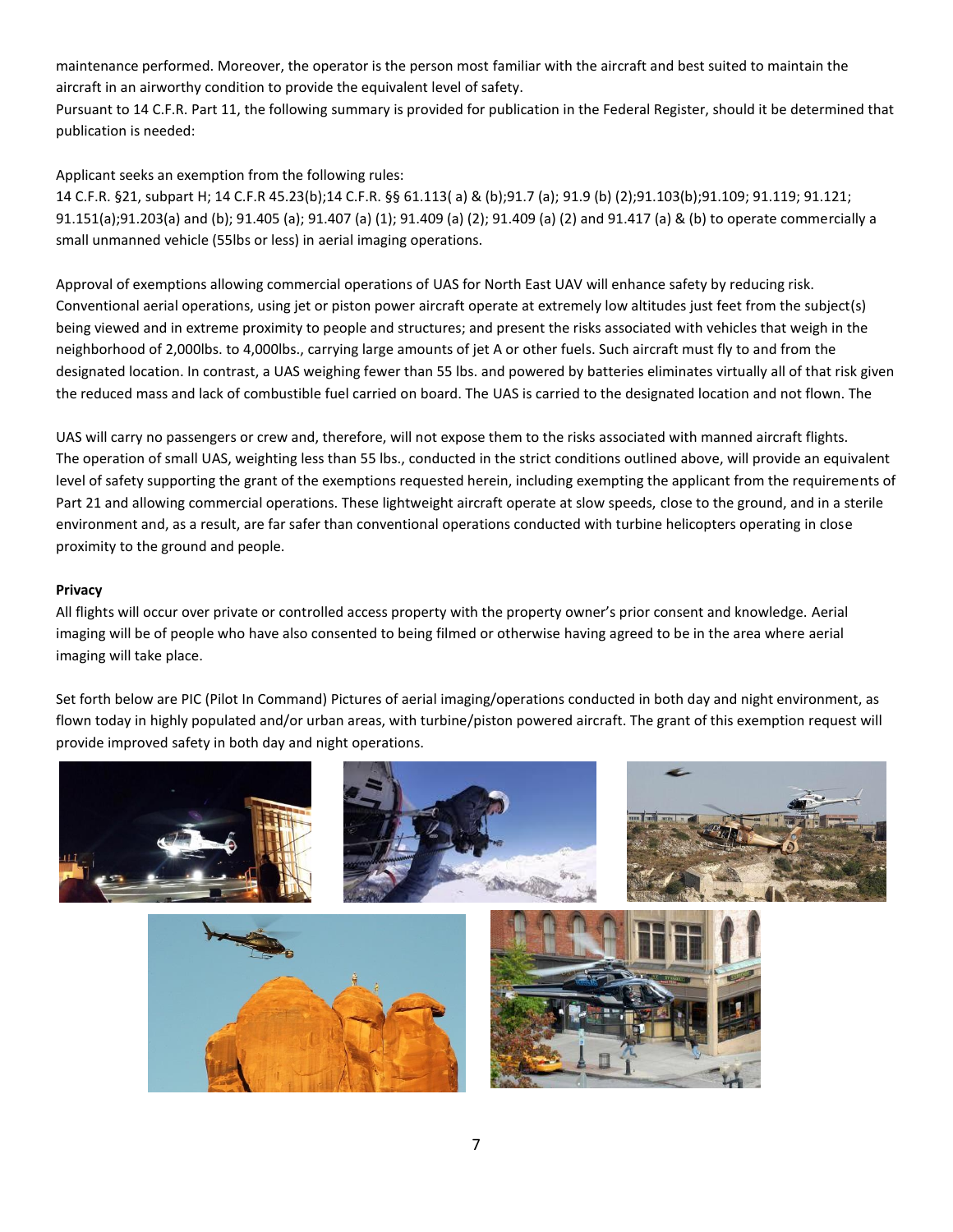maintenance performed. Moreover, the operator is the person most familiar with the aircraft and best suited to maintain the aircraft in an airworthy condition to provide the equivalent level of safety.

Pursuant to 14 C.F.R. Part 11, the following summary is provided for publication in the Federal Register, should it be determined that publication is needed:

Applicant seeks an exemption from the following rules:

14 C.F.R. §21, subpart H; 14 C.F.R 45.23(b);14 C.F.R. §§ 61.113( a) & (b);91.7 (a); 91.9 (b) (2);91.103(b);91.109; 91.119; 91.121; 91.151(a);91.203(a) and (b); 91.405 (a); 91.407 (a) (1); 91.409 (a) (2); 91.409 (a) (2) and 91.417 (a) & (b) to operate commercially a small unmanned vehicle (55lbs or less) in aerial imaging operations.

Approval of exemptions allowing commercial operations of UAS for North East UAV will enhance safety by reducing risk. Conventional aerial operations, using jet or piston power aircraft operate at extremely low altitudes just feet from the subject(s) being viewed and in extreme proximity to people and structures; and present the risks associated with vehicles that weigh in the neighborhood of 2,000lbs. to 4,000lbs., carrying large amounts of jet A or other fuels. Such aircraft must fly to and from the designated location. In contrast, a UAS weighing fewer than 55 lbs. and powered by batteries eliminates virtually all of that risk given the reduced mass and lack of combustible fuel carried on board. The UAS is carried to the designated location and not flown. The

UAS will carry no passengers or crew and, therefore, will not expose them to the risks associated with manned aircraft flights. The operation of small UAS, weighting less than 55 lbs., conducted in the strict conditions outlined above, will provide an equivalent level of safety supporting the grant of the exemptions requested herein, including exempting the applicant from the requirements of Part 21 and allowing commercial operations. These lightweight aircraft operate at slow speeds, close to the ground, and in a sterile environment and, as a result, are far safer than conventional operations conducted with turbine helicopters operating in close proximity to the ground and people.

# **Privacy**

All flights will occur over private or controlled access property with the property owner's prior consent and knowledge. Aerial imaging will be of people who have also consented to being filmed or otherwise having agreed to be in the area where aerial imaging will take place.

Set forth below are PIC (Pilot In Command) Pictures of aerial imaging/operations conducted in both day and night environment, as flown today in highly populated and/or urban areas, with turbine/piston powered aircraft. The grant of this exemption request will provide improved safety in both day and night operations.





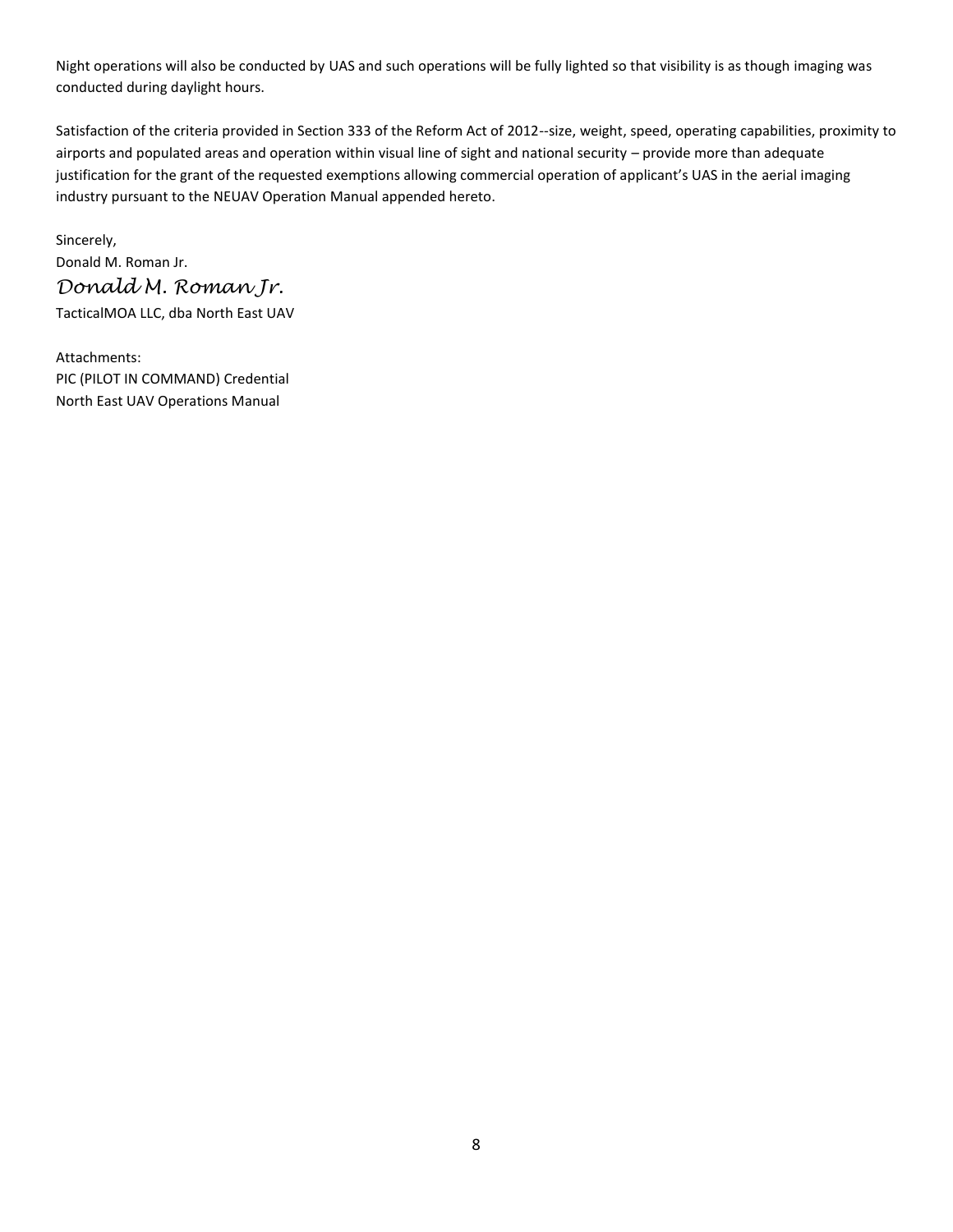Night operations will also be conducted by UAS and such operations will be fully lighted so that visibility is as though imaging was conducted during daylight hours.

Satisfaction of the criteria provided in Section 333 of the Reform Act of 2012--size, weight, speed, operating capabilities, proximity to airports and populated areas and operation within visual line of sight and national security – provide more than adequate justification for the grant of the requested exemptions allowing commercial operation of applicant's UAS in the aerial imaging industry pursuant to the NEUAV Operation Manual appended hereto.

Sincerely, Donald M. Roman Jr. *Donald M. Roman Jr.* TacticalMOA LLC, dba North East UAV

Attachments: PIC (PILOT IN COMMAND) Credential North East UAV Operations Manual